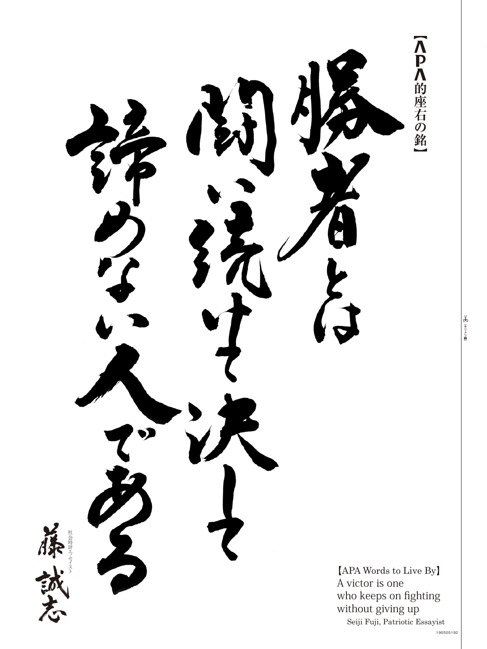